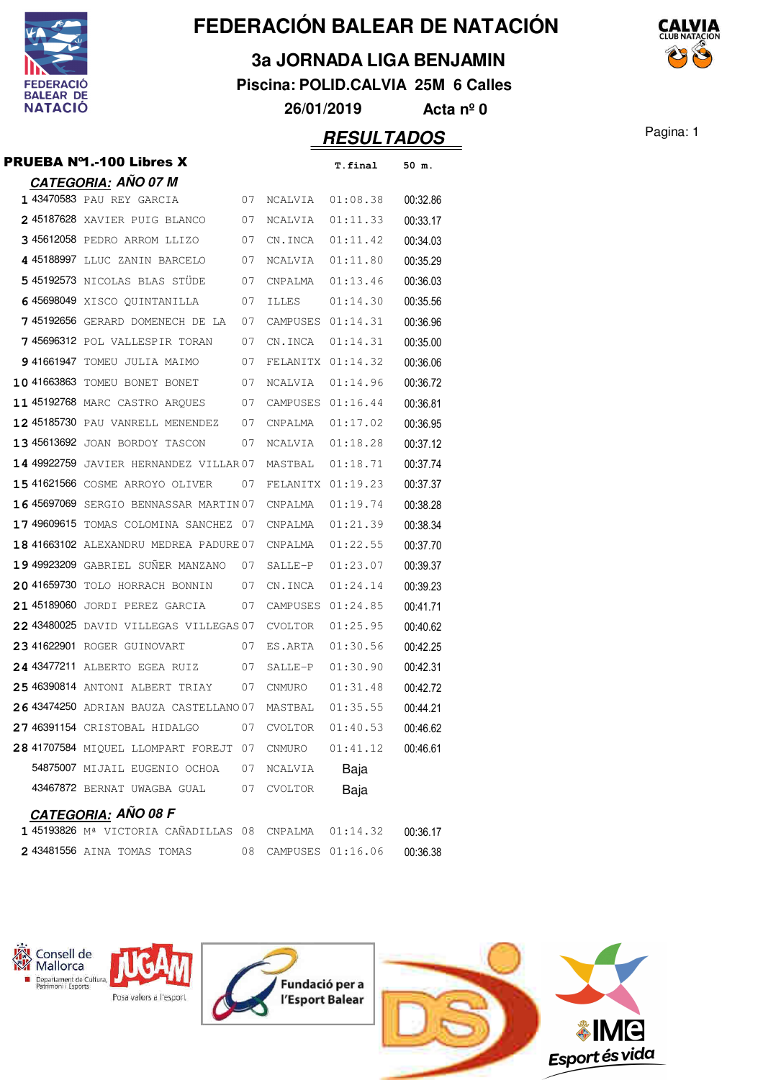

**3a JORNADA LIGA BENJAMIN**

**Piscina: POLID.CALVIA 25M 6 Calles**

**26/01/2019 Acta nº 0**

## **RESULTADOS** Pagina: 1

|           | <b>CATEGORIA: AÑO 07 M</b>    |    |                   |          |          |
|-----------|-------------------------------|----|-------------------|----------|----------|
|           | 1 43470583 PAU REY GARCIA     | 07 | <b>NCALVIA</b>    | 01:08.38 | 00:32.86 |
|           | 245187628 XAVIER PUIG BLANCO  | 07 | <b>NCALVIA</b>    | 01:11.33 | 00:33.17 |
|           | 345612058 PEDRO ARROM LLIZO   | 07 | CN. TNCA          | 01:11.42 | 00:34.03 |
|           | 4 45188997 LLUC ZANIN BARCELO | 07 | <b>NCALVIA</b>    | 01:11.80 | 00:35.29 |
|           | 545192573 NICOLAS BLAS STÜDE  | 07 | <b>CNPALMA</b>    | 01:13.46 | 00:36.03 |
|           | 645698049 XISCO OUINTANILLA   | 07 | <b>TLLES</b>      | 01:14.30 | 00:35.56 |
| 745192656 | DOMENECH DE LA<br>GERARD      | 07 | CAMPUSES 01:14.31 |          | 00:36.96 |
|           |                               |    |                   |          |          |

| 3 45612058 PEDRO ARROM LLIZO           | 07 | CN.INCA           | 01:11.42 | 00:34.03 |
|----------------------------------------|----|-------------------|----------|----------|
| 4 45188997 LLUC ZANIN BARCELO          | 07 | NCALVIA           | 01:11.80 | 00:35.29 |
| 545192573 NICOLAS BLAS STÜDE           | 07 | CNPALMA           | 01:13.46 | 00:36.03 |
| 6 45698049 XISCO QUINTANILLA           | 07 | ILLES             | 01:14.30 | 00:35.56 |
| 7 45192656 GERARD DOMENECH DE LA       | 07 | CAMPUSES 01:14.31 |          | 00:36.96 |
| 745696312 POL VALLESPIR TORAN          | 07 | CN.INCA           | 01:14.31 | 00:35.00 |
| 9 41661947 TOMEU JULIA MAIMO           | 07 | FELANITX 01:14.32 |          | 00:36.06 |
| 10 41663863 TOMEU BONET BONET          | 07 | NCALVIA           | 01:14.96 | 00:36.72 |
| 11 45192768 MARC CASTRO ARQUES         | 07 | CAMPUSES 01:16.44 |          | 00:36.81 |
| 12 45185730 PAU VANRELL MENENDEZ       | 07 | CNPALMA           | 01:17.02 | 00:36.95 |
| 13 45613692 JOAN BORDOY TASCON         | 07 | NCALVIA           | 01:18.28 | 00:37.12 |
| 14 49922759 JAVIER HERNANDEZ VILLAR 07 |    | MASTBAL           | 01:18.71 | 00:37.74 |
| 15 41621566 COSME ARROYO OLIVER        | 07 | FELANITX 01:19.23 |          | 00:37.37 |
| 16 45697069 SERGIO BENNASSAR MARTIN 07 |    | CNPALMA           | 01:19.74 | 00:38.28 |
| 17 49609615 TOMAS COLOMINA SANCHEZ 07  |    | CNPALMA           | 01:21.39 | 00:38.34 |
| 18 41663102 ALEXANDRU MEDREA PADURE 07 |    | CNPALMA           | 01:22.55 | 00:37.70 |
| 19 49923209 GABRIEL SUNER MANZANO      | 07 | SALLE-P           | 01:23.07 | 00:39.37 |
| 20 41659730 TOLO HORRACH BONNIN        | 07 | CN.INCA           | 01:24.14 | 00:39.23 |
| 21 45189060 JORDI PEREZ GARCIA         | 07 | CAMPUSES 01:24.85 |          | 00:41.71 |
| 22 43480025 DAVID VILLEGAS VILLEGAS 07 |    | CVOLTOR           | 01:25.95 | 00:40.62 |
| 23 41622901 ROGER GUINOVART            | 07 | ES.ARTA           | 01:30.56 | 00:42.25 |
| 24 43477211 ALBERTO EGEA RUIZ          | 07 | SALLE-P           | 01:30.90 | 00:42.31 |
| 25 46390814 ANTONI ALBERT TRIAY        | 07 | CNMURO            | 01:31.48 | 00:42.72 |
| 26 43474250 ADRIAN BAUZA CASTELLANO 07 |    | MASTBAL           | 01:35.55 | 00:44.21 |
| 27 46391154 CRISTOBAL HIDALGO          | 07 | CVOLTOR           | 01:40.53 | 00:46.62 |
| 28 41707584 MIQUEL LLOMPART FOREJT 07  |    | CNMURO            | 01:41.12 | 00:46.61 |
| 54875007 MIJAIL EUGENIO OCHOA          | 07 | NCALVIA           | Baja     |          |
| 43467872 BERNAT UWAGBA GUAL            | 07 | <b>CVOLTOR</b>    | Baja     |          |
| CATEGORIA - AÑO 08 F                   |    |                   |          |          |

PRUEBA N<sup>o</sup>1.-100 Libres X T.final 50 m.

|                            | $O1$ , $O2$ , $O3$ , $O4$ , $O5$ , $O6$ |                                                      |                      |          |
|----------------------------|-----------------------------------------|------------------------------------------------------|----------------------|----------|
|                            |                                         | 145193826 Mª VICTORIA CAÑADILLAS 08 CNPALMA 01:14.32 |                      | 00:36.17 |
| 243481556 AINA TOMAS TOMAS |                                         |                                                      | 08 CAMPUSES 01:16.06 | 00:36.38 |



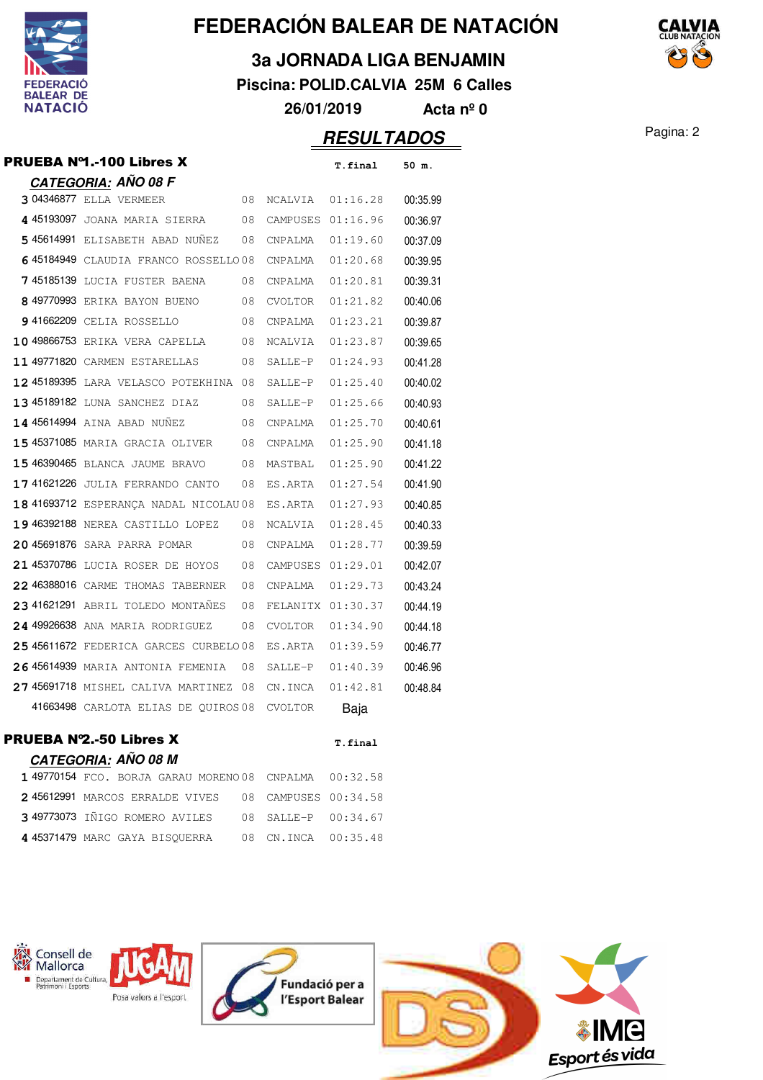

**3a JORNADA LIGA BENJAMIN**

**Piscina: POLID.CALVIA 25M 6 Calles**

**26/01/2019 Acta nº 0**

| PRUEBA Nº1.-100 Libres X               |    |                   | T.final           | 50 m.    |
|----------------------------------------|----|-------------------|-------------------|----------|
| <u>CATEGORIA:</u> AÑO 08 F             |    |                   |                   |          |
| 3 04346877 ELLA VERMEER                | 08 | NCALVIA           | 01:16.28          | 00:35.99 |
| 4 45193097 JOANA MARIA SIERRA          | 08 |                   | CAMPUSES 01:16.96 | 00:36.97 |
| 5 45614991 ELISABETH ABAD NUNEZ        | 08 | CNPALMA           | 01:19.60          | 00:37.09 |
| 6 45184949 CLAUDIA FRANCO ROSSELLO08   |    | CNPALMA           | 01:20.68          | 00:39.95 |
| 7 45185139 LUCIA FUSTER BAENA          | 08 | CNPALMA           | 01:20.81          | 00:39.31 |
| 8 49770993 ERIKA BAYON BUENO           | 08 | CVOLTOR           | 01:21.82          | 00:40.06 |
| 941662209 CELIA ROSSELLO               | 08 | CNPALMA           | 01:23.21          | 00:39.87 |
| 10 49866753 ERIKA VERA CAPELLA         | 08 | NCALVIA           | 01:23.87          | 00:39.65 |
| 11 49771820 CARMEN ESTARELLAS          | 08 | SALLE-P           | 01:24.93          | 00:41.28 |
| 12 45189395 LARA VELASCO POTEKHINA 08  |    | SALLE-P           | 01:25.40          | 00:40.02 |
| 13 45189182 LUNA SANCHEZ DIAZ          | 08 | SALLE-P           | 01:25.66          | 00:40.93 |
| <b>14 45614994</b> AINA ABAD NUÑEZ     | 08 | CNPALMA           | 01:25.70          | 00:40.61 |
| 15 45371085 MARIA GRACIA OLIVER        | 08 | CNPALMA           | 01:25.90          | 00:41.18 |
| 15 46390465 BLANCA JAUME BRAVO         | 08 | MASTBAL           | 01:25.90          | 00:41.22 |
| 17 41621226 JULIA FERRANDO CANTO       | 08 | ES.ARTA           | 01:27.54          | 00:41.90 |
| 18 41693712 ESPERANCA NADAL NICOLAU 08 |    | ES.ARTA           | 01:27.93          | 00:40.85 |
| 19 46392188 NEREA CASTILLO LOPEZ       | 08 | NCALVIA           | 01:28.45          | 00:40.33 |
| 20 45691876 SARA PARRA POMAR           | 08 | CNPALMA           | 01:28.77          | 00:39.59 |
| 21 45370786 LUCIA ROSER DE HOYOS       | 08 | CAMPUSES          | 01:29.01          | 00:42.07 |
| 22 46388016 CARME THOMAS TABERNER      | 08 | CNPALMA           | 01:29.73          | 00:43.24 |
| 23 41621291 ABRIL TOLEDO MONTAÑES      | 08 | FELANITX 01:30.37 |                   | 00:44.19 |
| 24 49926638 ANA MARIA RODRIGUEZ        | 08 | CVOLTOR           | 01:34.90          | 00:44.18 |
| 25 45611672 FEDERICA GARCES CURBELO08  |    | ES.ARTA           | 01:39.59          | 00:46.77 |
| 26 45614939 MARIA ANTONIA FEMENIA      | 08 | SALLE-P           | 01:40.39          | 00:46.96 |
| 27 45691718 MISHEL CALIVA MARTINEZ 08  |    | CN.INCA           | 01:42.81          | 00:48.84 |
| 41663498 CARLOTA ELIAS DE QUIROS 08    |    | <b>CVOLTOR</b>    | Baja              |          |
| <b>PRUEBA Nº2.-50 Libres X</b>         |    |                   | T.final           |          |
| <b>CATEGORIA: AÑO 08 M</b>             |    |                   |                   |          |
| 1 49770154 FCO. BORJA GARAU MORENO 08  |    | CNPALMA           | 00:32.58          |          |
| 2 45612991 MARCOS ERRALDE VIVES        | 08 | CAMPUSES          | 00:34.58          |          |
| 3 49773073 IÑIGO ROMERO AVILES         | 08 | SALLE-P           | 00:34.67          |          |
| 4 45371479 MARC GAYA BISQUERRA         | 08 | CN.INCA           | 00:35.48          |          |

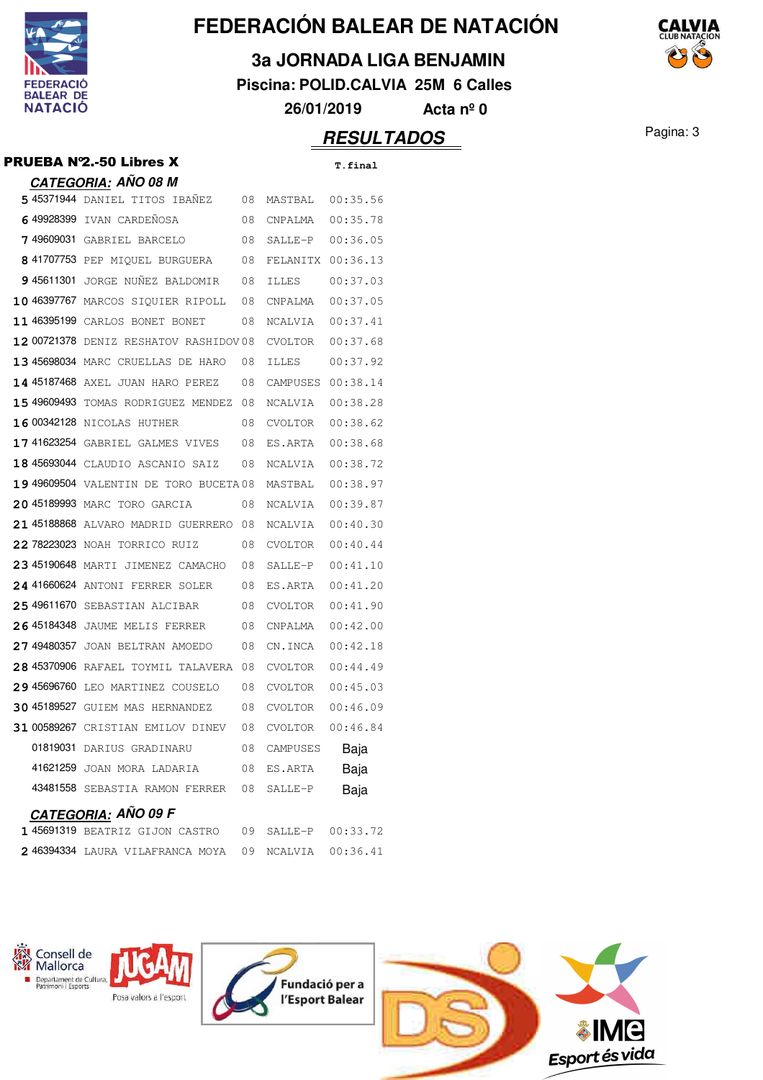

**3a JORNADA LIGA BENJAMIN**

**Piscina: POLID.CALVIA 25M 6 Calles**

**26/01/2019 Acta nº 0**

|             | PRUEBA N°2.-50 Libres X                |    |                | T.final  |
|-------------|----------------------------------------|----|----------------|----------|
|             | <u>CATEGORIA</u> : AÑO 08 M            |    |                |          |
|             | 5 45371944 DANIEL TITOS IBAÑEZ         | 08 | MASTBAL        | 00:35.56 |
|             | 649928399 IVAN CARDENOSA               | 08 | CNPALMA        | 00:35.78 |
| 749609031   | GABRIEL BARCELO                        | 08 | SALLE-P        | 00:36.05 |
|             | 8 41707753 PEP MIQUEL BURGUERA         | 08 | FELANITX       | 00:36.13 |
| 9 45611301  | JORGE NUNEZ BALDOMIR                   | 08 | <b>ILLES</b>   | 00:37.03 |
|             | 10 46397767 MARCOS SIQUIER RIPOLL      | 08 | CNPALMA        | 00:37.05 |
| 11 46395199 | CARLOS BONET BONET                     | 08 | NCALVIA        | 00:37.41 |
|             | 12 00721378 DENIZ RESHATOV RASHIDOV08  |    | <b>CVOLTOR</b> | 00:37.68 |
|             | 13 45698034 MARC CRUELLAS DE HARO      | 08 | <b>ILLES</b>   | 00:37.92 |
|             | 14 45187468 AXEL JUAN HARO PEREZ       | 08 | CAMPUSES       | 00:38.14 |
|             | 15 49609493 TOMAS RODRIGUEZ MENDEZ     | 08 | NCALVIA        | 00:38.28 |
|             | 16 00342128 NICOLAS HUTHER             | 08 | CVOLTOR        | 00:38.62 |
|             | 17 41623254 GABRIEL GALMES VIVES       | 08 | ES.ARTA        | 00:38.68 |
|             | 18 45693044 CLAUDIO ASCANIO SAIZ       | 08 | NCALVIA        | 00:38.72 |
|             | 19 49609504 VALENTIN DE TORO BUCETA 08 |    | MASTBAL        | 00:38.97 |
|             | 20 45189993 MARC TORO GARCIA           | 08 | NCALVIA        | 00:39.87 |
|             | 21 45188868 ALVARO MADRID GUERRERO     | 08 | NCALVIA        | 00:40.30 |
|             | 22 78223023 NOAH TORRICO RUIZ          | 08 | CVOLTOR        | 00:40.44 |
|             | 23 45190648 MARTI JIMENEZ CAMACHO      | 08 | SALLE-P        | 00:41.10 |
|             | 24 41660624 ANTONI FERRER SOLER        | 08 | ES.ARTA        | 00:41.20 |
|             | 25 49611670 SEBASTIAN ALCIBAR          | 08 | CVOLTOR        | 00:41.90 |
|             | 26 45184348 JAUME MELIS FERRER         | 08 | CNPALMA        | 00:42.00 |
| 27 49480357 | JOAN BELTRAN AMOEDO                    | 08 | CN.INCA        | 00:42.18 |
|             | 28 45370906 RAFAEL TOYMIL TALAVERA     | 08 | CVOLTOR        | 00:44.49 |
| 29 45696760 | LEO MARTINEZ COUSELO                   | 08 | <b>CVOLTOR</b> | 00:45.03 |
| 30 45189527 | GUIEM MAS HERNANDEZ                    | 08 | CVOLTOR        | 00:46.09 |
| 31 00589267 | CRISTIAN EMILOV DINEV                  | 08 | <b>CVOLTOR</b> | 00:46.84 |
| 01819031    | DARIUS GRADINARU                       | 08 | CAMPUSES       | Baja     |
| 41621259    | JOAN MORA LADARIA                      | 08 | ES.ARTA        | Baja     |
|             | 43481558 SEBASTIA RAMON FERRER         | 08 | SALLE-P        | Baja     |
|             | CATEGORIA: AÑO 09 F                    |    |                |          |

| 145691319 BEATRIZ GIJON CASTRO 09 SALLE-P 00:33.72   |  |  |
|------------------------------------------------------|--|--|
| 2 46394334 LAURA VILAFRANCA MOYA 09 NCALVIA 00:36.41 |  |  |
|                                                      |  |  |



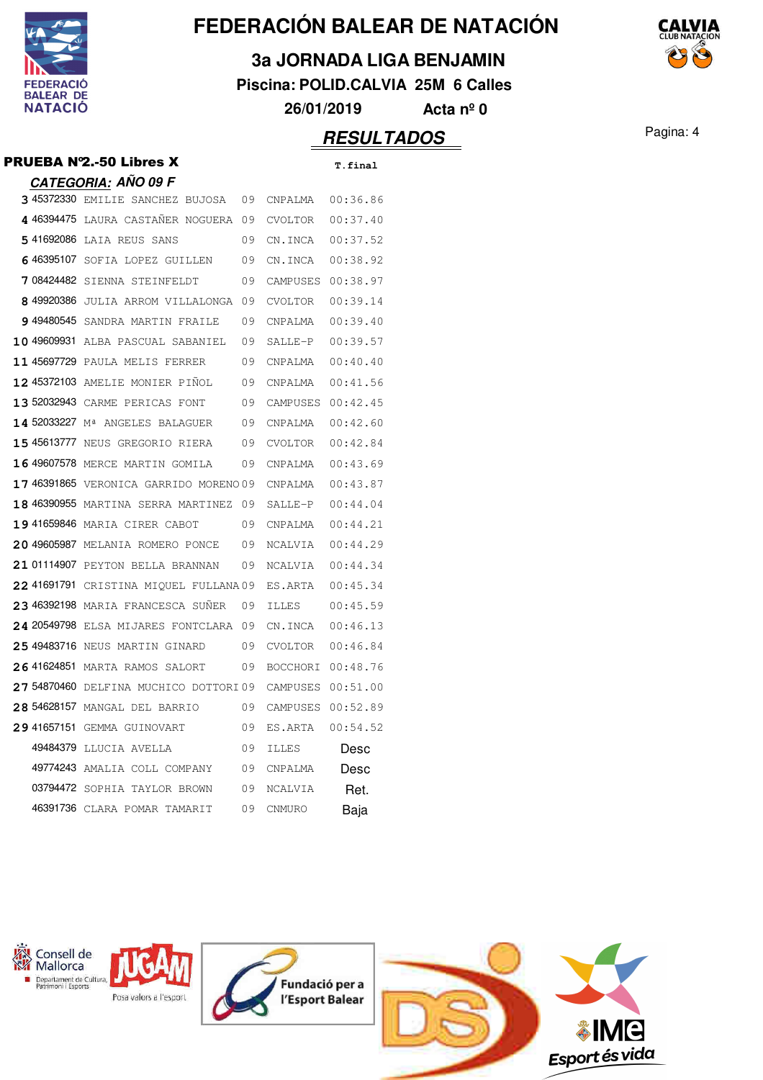

**3a JORNADA LIGA BENJAMIN**

**Piscina: POLID.CALVIA 25M 6 Calles**

**26/01/2019 Acta nº 0**

## Pagina: 4 **RESULTADOS**

|         | <b>PRUEBA Nº2.-50 Libres X</b>                        |          | T.final  |
|---------|-------------------------------------------------------|----------|----------|
|         | <u>CATEGORIA:</u> AÑO 09 F                            |          |          |
|         | 345372330 EMILIE SANCHEZ BUJOSA 09 CNPALMA 00:36.86   |          |          |
|         | 4 46394475 LAURA CASTAÑER NOGUERA 09                  | CVOLTOR  | 00:37.40 |
|         | 541692086 LAIA REUS SANS<br>$\sim$ 09                 | CN.INCA  | 00:37.52 |
|         | 646395107 SOFIA LOPEZ GUILLEN 09                      | CN.INCA  | 00:38.92 |
|         | 708424482 SIENNA STEINFELDT 09                        | CAMPUSES | 00:38.97 |
|         | 849920386 JULIA ARROM VILLALONGA 09                   | CVOLTOR  | 00:39.14 |
|         | 949480545 SANDRA MARTIN FRAILE 09                     | CNPALMA  | 00:39.40 |
|         | 10 49609931 ALBA PASCUAL SABANIEL 09                  | SALLE-P  | 00:39.57 |
|         | 11 45697729 PAULA MELIS FERRER 09                     | CNPAIMA  | 00:40.40 |
|         | 12 45372103 AMELIE MONIER PIÑOL 09                    | CNPALMA  | 00:41.56 |
|         | 13 52032943 CARME PERICAS FONT 09                     | CAMPUSES | 00:42.45 |
|         | <b>14 52033227</b> M <sup>ª</sup> ANGELES BALAGUER 09 | CNPALMA  | 00:42.60 |
|         | 15 45613777 NEUS GREGORIO RIERA 09                    | CVOLTOR  | 00:42.84 |
|         | 16 49607578 MERCE MARTIN GOMILA 09                    | CNPAIMA  | 00:43.69 |
|         | 17 46391865 VERONICA GARRIDO MORENO 09 CNPALMA        |          | 00:43.87 |
|         | 18 46390955 MARTINA SERRA MARTINEZ 09                 | SALLE-P  | 00:44.04 |
| 1105010 |                                                       |          |          |

|              | 14 52033227 Mª ANGELES BALAGUER       | 09 | CNPALMA         | 00:42.60 |
|--------------|---------------------------------------|----|-----------------|----------|
|              | 15 45613777 NEUS GREGORIO RIERA       | 09 | CVOLTOR         | 00:42.84 |
|              | 16 49607578 MERCE MARTIN GOMILA       | 09 | CNPALMA         | 00:43.69 |
| 1 7 46391865 | VERONICA GARRIDO MORENO 09            |    | CNPALMA         | 00:43.87 |
|              | 18 46390955 MARTINA SERRA MARTINEZ    | 09 | SALLE-P         | 00:44.04 |
|              | 19 41659846 MARIA CIRER CABOT         | 09 | <b>CNPALMA</b>  | 00:44.21 |
|              | 20 49605987 MELANIA ROMERO PONCE      | 09 | NCALVIA         | 00:44.29 |
|              | 21 01114907 PEYTON BELLA BRANNAN      | 09 | NCALVIA         | 00:44.34 |
|              | 22 41691791 CRISTINA MIQUEL FULLANA09 |    | ES.ARTA         | 00:45.34 |
|              | 23 46392198 MARIA FRANCESCA SUÑER     | 09 | <b>TLLES</b>    | 00:45.59 |
|              | 24 20549798 ELSA MIJARES FONTCLARA 09 |    | CN. TNCA        | 00:46.13 |
|              | 25 49483716 NEUS MARTIN GINARD        | 09 | <b>CVOLTOR</b>  | 00:46.84 |
| 2.6 41624851 | MARTA RAMOS SALORT                    | 09 | <b>BOCCHORI</b> | 00:48.76 |
| 2.7 54870460 | DELFINA MUCHICO DOTTORI09             |    | CAMPUSES        | 00:51.00 |
| 28 54628157  | MANGAL DEL BARRIO                     | 09 | CAMPUSES        | 00:52.89 |
| 29 41657151  | GEMMA GUINOVART                       | 09 | ES.ARTA         | 00:54.52 |
| 49484379     | LLUCTA AVELLA                         | 09 | <b>ILLES</b>    | Desc     |
| 49774243     | AMALIA COLL COMPANY                   | 09 | <b>CNPALMA</b>  | Desc     |
|              | 03794472 SOPHIA TAYLOR BROWN          | 09 | <b>NCALVIA</b>  | Ret.     |
|              | 46391736 CLARA POMAR TAMARIT          | 09 | <b>CNMURO</b>   | Baja     |





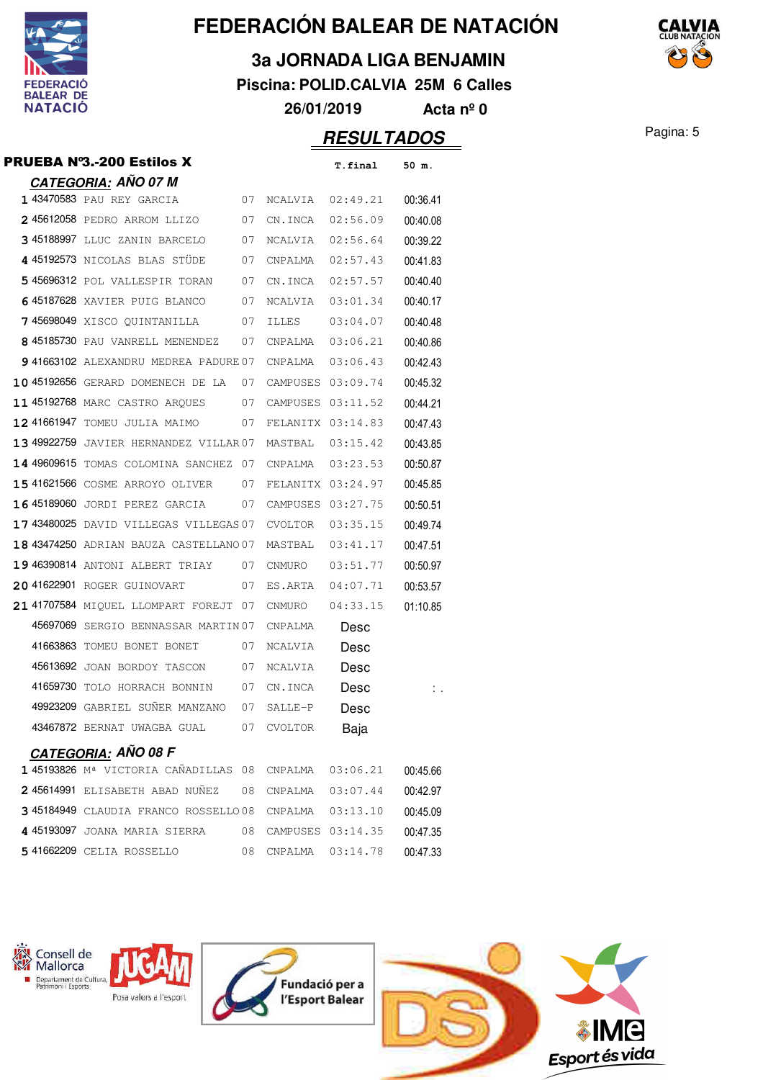

**3a JORNADA LIGA BENJAMIN**

**Piscina: POLID.CALVIA 25M 6 Calles**

**26/01/2019 Acta nº 0**

| PRUEBA N°3.-200 Estilos X                             |      |                   | T.final           | 50 m.    |
|-------------------------------------------------------|------|-------------------|-------------------|----------|
| <b>CATEGORIA: AÑO 07 M</b>                            |      |                   |                   |          |
| 1 43470583 PAU REY GARCIA                             | 07   | NCALVIA           | 02:49.21          | 00:36.41 |
| 245612058 PEDRO ARROM LLIZO                           | 07   | CN.INCA           | 02:56.09          | 00:40.08 |
| 3 45188997 LLUC ZANIN BARCELO                         | 07   | NCALVIA           | 02:56.64          | 00:39.22 |
| 4 45192573 NICOLAS BLAS STÜDE                         | 07   | CNPALMA           | 02:57.43          | 00:41.83 |
| 5 45696312 POL VALLESPIR TORAN                        | 07   | CN.INCA           | 02:57.57          | 00:40.40 |
| 645187628 XAVIER PUIG BLANCO                          | 07   | NCALVIA           | 03:01.34          | 00:40.17 |
| 7 45698049 XISCO QUINTANILLA                          | 07   | <b>ILLES</b>      | 03:04.07          | 00:40.48 |
| 8 45185730 PAU VANRELL MENENDEZ                       | 07   | CNPALMA           | 03:06.21          | 00:40.86 |
| 941663102 ALEXANDRU MEDREA PADURE 07                  |      | CNPALMA           | 03:06.43          | 00:42.43 |
| 10 45192656 GERARD DOMENECH DE LA                     | 07   | CAMPUSES 03:09.74 |                   | 00:45.32 |
| 11 45192768 MARC CASTRO ARQUES                        | 07   | CAMPUSES          | 03:11.52          | 00:44.21 |
| 12 41661947 TOMEU JULIA MAIMO                         | 07   | FELANITX 03:14.83 |                   | 00:47.43 |
| 13 49922759 JAVIER HERNANDEZ VILLAR 07                |      | MASTBAL           | 03:15.42          | 00:43.85 |
| 14 49609615 TOMAS COLOMINA SANCHEZ                    | - 07 | CNPALMA           | 03:23.53          | 00:50.87 |
| 15 41621566 COSME ARROYO OLIVER                       | 07   | FELANITX 03:24.97 |                   | 00:45.85 |
| 16 45189060 JORDI PEREZ GARCIA                        | 07   | CAMPUSES 03:27.75 |                   | 00:50.51 |
| 17 43480025 DAVID VILLEGAS VILLEGAS 07                |      | CVOLTOR           | 03:35.15          | 00:49.74 |
| 18 43474250 ADRIAN BAUZA CASTELLANO 07                |      | MASTBAL           | 03:41.17          | 00:47.51 |
| 19 46390814 ANTONI ALBERT TRIAY<br>07                 |      | CNMURO            | 03:51.77          | 00:50.97 |
| 20 41622901 ROGER GUINOVART                           | 07   | ES.ARTA           | 04:07.71          | 00:53.57 |
| 21 41707584 MIQUEL LLOMPART FOREJT 07                 |      | CNMURO            | 04:33.15          | 01:10.85 |
| 45697069 SERGIO BENNASSAR MARTIN 07                   |      | CNPALMA           | Desc              |          |
| 41663863 TOMEU BONET BONET                            | 07   | NCALVIA           | Desc              |          |
| 45613692 JOAN BORDOY TASCON 07                        |      | NCALVIA           | Desc              |          |
| 41659730 TOLO HORRACH BONNIN 07                       |      | CN.INCA           | Desc              | Ι.       |
| 49923209 GABRIEL SUÑER MANZANO 07                     |      | SALLE-P           | Desc              |          |
| 43467872 BERNAT UWAGBA GUAL 07 CVOLTOR                |      |                   | Baja              |          |
| <b>CATEGORIA: AÑO 08 F</b>                            |      |                   |                   |          |
| 1 45193826 Mª VICTORIA CAÑADILLAS 08 CNPALMA 03:06.21 |      |                   |                   | 00:45.66 |
| 245614991 ELISABETH ABAD NUÑEZ                        | 08   | CNPALMA           | 03:07.44          | 00:42.97 |
| 3 45184949 CLAUDIA FRANCO ROSSELLO 08 CNPALMA         |      |                   | 03:13.10          | 00:45.09 |
| 445193097 JOANA MARIA SIERRA                          | 08   | CAMPUSES 03:14.35 |                   | 00:47.35 |
| 5 41662209 CELIA ROSSELLO                             | 08   |                   | CNPALMA  03:14.78 | 00:47.33 |



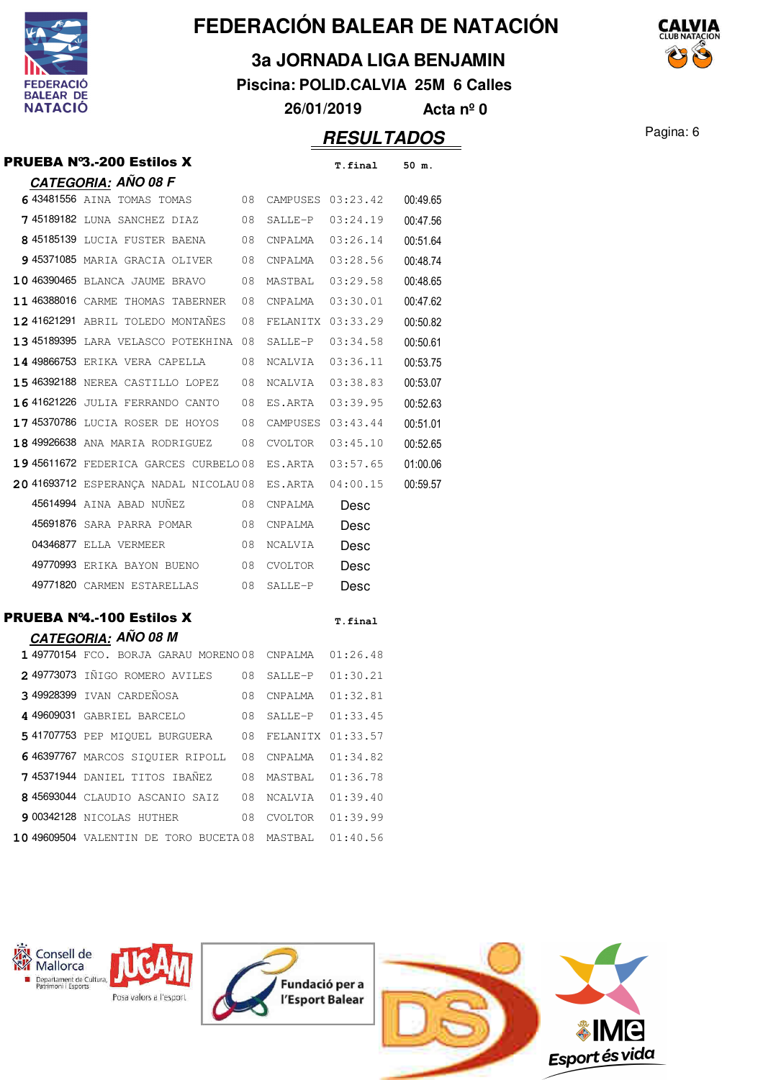

**3a JORNADA LIGA BENJAMIN**

**Piscina: POLID.CALVIA 25M 6 Calles**

**26/01/2019 Acta nº 0**

|                                                         |      |                  | <u>RESULTADOS</u> |          |
|---------------------------------------------------------|------|------------------|-------------------|----------|
| PRUEBA N°3.-200 Estilos X                               |      |                  | T.final           | 50 m.    |
| <u>CATEGORIA:</u> AÑO 08 F                              |      |                  |                   |          |
| 643481556 AINA TOMAS TOMAS<br>$\overline{08}$           |      |                  | CAMPUSES 03:23.42 | 00:49.65 |
| 7 45189182 LUNA SANCHEZ DIAZ 08                         |      | SALLE-P 03:24.19 |                   | 00:47.56 |
| 8 45185139 LUCIA FUSTER BAENA 08 CNPALMA 03:26.14       |      |                  |                   | 00:51.64 |
| 945371085 MARIA GRACIA OLIVER 08                        |      |                  | CNPALMA 03:28.56  | 00:48.74 |
| 10 46390465 BLANCA JAUME BRAVO 08                       |      | MASTBAL 03:29.58 |                   | 00:48.65 |
| 11 46388016 CARME THOMAS TABERNER 08                    |      | CNPALMA          | 03:30.01          | 00:47.62 |
| 12 41621291 ABRIL TOLEDO MONTANES                       | - 08 |                  | FELANITX 03:33.29 | 00:50.82 |
| 13 45189395 LARA VELASCO POTEKHINA 08                   |      | SALLE-P          | 03:34.58          | 00:50.61 |
| 14 49866753 ERIKA VERA CAPELLA                          | 08   | NCALVIA          | 03:36.11          | 00:53.75 |
| 15 46392188 NEREA CASTILLO LOPEZ                        | - 08 |                  | NCALVIA 03:38.83  | 00:53.07 |
| <b>16 41621226</b> JULIA FERRANDO CANTO 08              |      | ES.ARTA          | 03:39.95          | 00:52.63 |
| 1745370786 LUCIA ROSER DE HOYOS 08                      |      |                  | CAMPUSES 03:43.44 | 00:51.01 |
| 18 49926638 ANA MARIA RODRIGUEZ 08                      |      | CVOLTOR          | 03:45.10          | 00:52.65 |
| 19 45611672 FEDERICA GARCES CURBELO08 ES.ARTA 03:57.65  |      |                  |                   | 01:00.06 |
| 20 41693712 ESPERANÇA NADAL NICOLAU 08 ES.ARTA          |      |                  | 04:00.15          | 00:59.57 |
| 45614994 AINA ABAD NUÑEZ<br>08                          |      | CNPALMA          | Desc              |          |
| 45691876 SARA PARRA POMAR                               | - 08 | CNPALMA          | Desc              |          |
| 04346877 ELLA VERMEER                                   | 08   | NCALVIA          | Desc              |          |
| 49770993 ERIKA BAYON BUENO                              | - 08 | CVOLTOR          | Desc              |          |
| 49771820 CARMEN ESTARELLAS                              | - 08 | SALLE-P          | Desc              |          |
| PRUEBA Nº4.-100 Estilos X<br><b>CATEGORIA: AÑO 08 M</b> |      |                  | T.final           |          |
| 1 49770154 FCO. BORJA GARAU MORENO08 CNPALMA 01:26.48   |      |                  |                   |          |
| 249773073 IÑIGO ROMERO AVILES 08                        |      |                  | SALLE-P 01:30.21  |          |
| 3 49928399 IVAN CARDEÑOSA<br>$\sim$ 08                  |      |                  |                   |          |
| 449609031 GABRIEL BARCELO                               | 08   | SALLE-P          | 01:33.45          |          |
| 5 41707753 PEP MIQUEL BURGUERA                          | 08   |                  | FELANITX 01:33.57 |          |
| 646397767 MARCOS SIQUIER RIPOLL                         |      | 08 CNPALMA       | 01:34.82          |          |
| 745371944 DANIEL TITOS IBAÑEZ                           | 08   | MASTBAL          | 01:36.78          |          |
| 8 45693044 CLAUDIO ASCANIO SAIZ 08                      |      | NCALVIA          | 01:39.40          |          |
| <b>9 00342128</b> NICOLAS HUTHER                        | 08   |                  | CVOLTOR 01:39.99  |          |
| 10 49609504 VALENTIN DE TORO BUCETA 08 MASTBAL          |      |                  | 01:40.56          |          |
|                                                         |      |                  |                   |          |
|                                                         |      |                  |                   |          |

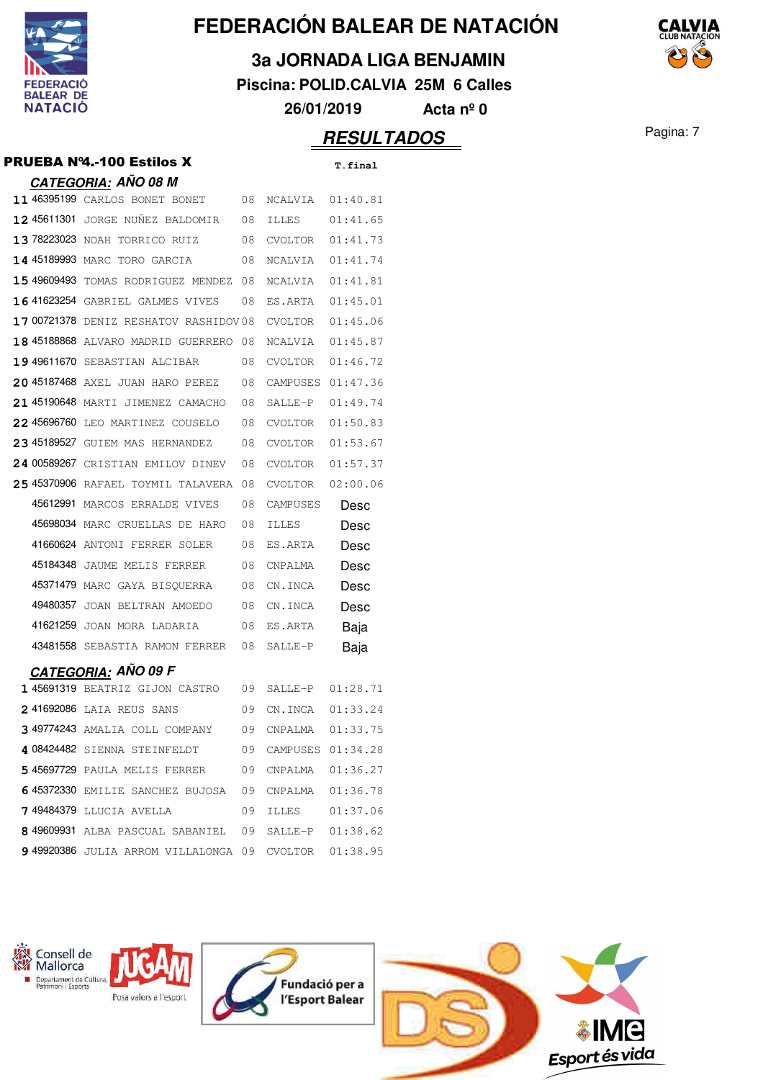

**3a JORNADA LIGA BENJAMIN**

**Piscina: POLID.CALVIA 25M 6 Calles**

**26/01/2019 Acta nº 0**

## **RESULTADOS** Pagina: 7

|  |  | PRUEBA Nº4.-100 Estilos X |  |
|--|--|---------------------------|--|
|--|--|---------------------------|--|

|             | PRUEBA Nº4.-100 Estilos X                                     |    |                   | <b>T.final</b> |
|-------------|---------------------------------------------------------------|----|-------------------|----------------|
|             | <u>CATEGORIA:</u> AÑO 08 M                                    |    |                   |                |
|             | 11 46395199 CARLOS BONET BONET                                | 08 | NCALVIA           | 01:40.81       |
|             | 12 45611301 JORGE NUÑEZ BALDOMIR                              | 08 | ILLES             | 01:41.65       |
|             | 13 78223023 NOAH TORRICO RUIZ                                 | 08 | CVOLTOR           | 01:41.73       |
|             | 14 45189993 MARC TORO GARCIA                                  | 08 | NCALVIA           | 01:41.74       |
| 15 49609493 | TOMAS RODRIGUEZ MENDEZ                                        | 08 | NCALVIA           | 01:41.81       |
|             | 16 41623254 GABRIEL GALMES VIVES                              | 08 | ES.ARTA           | 01:45.01       |
|             | 17 00721378 DENIZ RESHATOV RASHIDOV08                         |    | CVOLTOR           | 01:45.06       |
|             | 18 45188868 ALVARO MADRID GUERRERO 08                         |    | NCALVIA           | 01:45.87       |
|             | 19 49611670 SEBASTIAN ALCIBAR                                 | 08 | CVOLTOR           | 01:46.72       |
|             | 20 45187468 AXEL JUAN HARO PEREZ                              | 08 | CAMPUSES          | 01:47.36       |
|             | 21 45190648 MARTI JIMENEZ CAMACHO                             | 08 | SALLE-P           | 01:49.74       |
| 22 45696760 | LEO MARTINEZ COUSELO                                          | 08 | CVOLTOR           | 01:50.83       |
|             | 23 45189527 GUIEM MAS HERNANDEZ                               | 08 | CVOLTOR           | 01:53.67       |
|             | 24 00589267 CRISTIAN EMILOV DINEV                             | 08 | CVOLTOR           | 01:57.37       |
|             | 25 45370906 RAFAEL TOYMIL TALAVERA                            | 08 | CVOLTOR           | 02:00.06       |
| 45612991    | MARCOS ERRALDE VIVES                                          | 08 | CAMPUSES          | Desc           |
|             | 45698034 MARC CRUELLAS DE HARO                                | 08 | <b>ILLES</b>      | Desc           |
|             |                                                               |    |                   |                |
| 41660624    | ANTONI FERRER SOLER                                           | 08 | ES.ARTA           | Desc           |
| 45184348    | JAUME MELIS FERRER                                            | 08 | CNPALMA           | Desc           |
|             | 45371479 MARC GAYA BISQUERRA                                  | 08 | CN.INCA           | Desc           |
| 49480357    | JOAN BELTRAN AMOEDO                                           | 08 | CN.INCA           | Desc           |
|             | 41621259 JOAN MORA LADARIA                                    | 08 | ES.ARTA           | Baja           |
|             | 43481558 SEBASTIA RAMON FERRER                                | 08 | SALLE-P           | Baja           |
|             |                                                               |    |                   |                |
|             | <b>CATEGORIA: AÑO 09 F</b><br>1 45691319 BEATRIZ GIJON CASTRO | 09 | SALLE-P 01:28.71  |                |
|             | 2 41692086 LAIA REUS SANS                                     | 09 | CN.INCA  01:33.24 |                |
|             | 3 49774243 AMALIA COLL COMPANY                                | 09 | CNPALMA  01:33.75 |                |
|             | 4 08424482 SIENNA STEINFELDT 09 CAMPUSES 01:34.28             |    |                   |                |
|             | 545697729 PAULA MELIS FERRER 09                               |    | CNPALMA  01:36.27 |                |
|             | 6 45372330 EMILIE SANCHEZ BUJOSA 09                           |    | CNPALMA  01:36.78 |                |
|             | <b>7 49484379</b> LLUCIA AVELLA                               | 09 |                   |                |

49920386 JULIA ARROM VILLALONGA 09 CVOLTOR 01:38.95

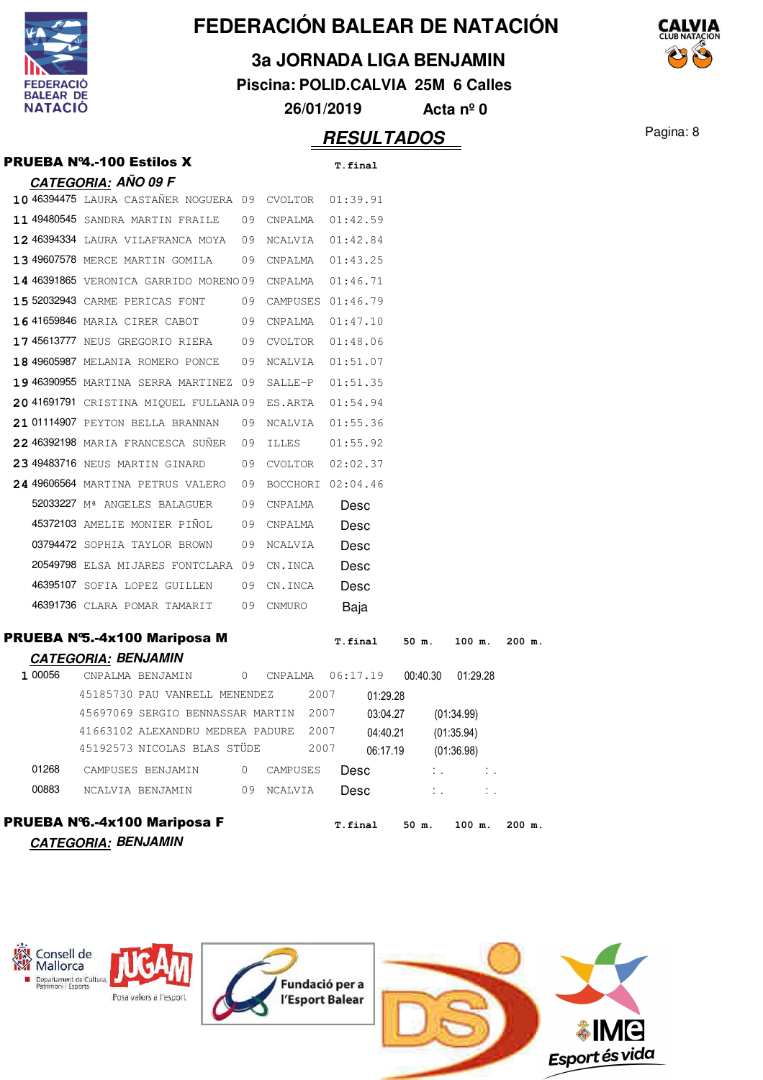

**3a JORNADA LIGA BENJAMIN**

**Piscina: POLID.CALVIA 25M 6 Calles**

**26/01/2019 Acta nº 0**

|         | <b>PRUEBA Nº4.-100 Estilos X</b>              |              |                   |      | T.final  |          |                        |            |             |        |  |
|---------|-----------------------------------------------|--------------|-------------------|------|----------|----------|------------------------|------------|-------------|--------|--|
|         | <u>CATEGORIA:</u> AÑO 09 F                    |              |                   |      |          |          |                        |            |             |        |  |
|         | 10 46394475 LAURA CASTAÑER NOGUERA 09 CVOLTOR |              |                   |      | 01:39.91 |          |                        |            |             |        |  |
|         | 11 49480545 SANDRA MARTIN FRAILE              | - 09         | CNPALMA           |      | 01:42.59 |          |                        |            |             |        |  |
|         | 12 46394334 LAURA VILAFRANCA MOYA 09          |              | NCALVIA           |      | 01:42.84 |          |                        |            |             |        |  |
|         | 13 49607578 MERCE MARTIN GOMILA               | 09           | CNPALMA           |      | 01:43.25 |          |                        |            |             |        |  |
|         | <b>14 46391865</b> VERONICA GARRIDO MORENO 09 |              | CNPALMA           |      | 01:46.71 |          |                        |            |             |        |  |
|         | 15 52032943 CARME PERICAS FONT                | 09           | CAMPUSES 01:46.79 |      |          |          |                        |            |             |        |  |
|         | 16 41659846 MARIA CIRER CABOT 09              |              | CNPALMA           |      | 01:47.10 |          |                        |            |             |        |  |
|         | 1745613777 NEUS GREGORIO RIERA 09 CVOLTOR     |              |                   |      | 01:48.06 |          |                        |            |             |        |  |
|         | 18 49605987 MELANIA ROMERO PONCE 09           |              | NCALVIA           |      | 01:51.07 |          |                        |            |             |        |  |
|         | 19 46390955 MARTINA SERRA MARTINEZ 09         |              | SALLE-P           |      | 01:51.35 |          |                        |            |             |        |  |
|         | 20 41691791 CRISTINA MIQUEL FULLANA09         |              | ES.ARTA           |      | 01:54.94 |          |                        |            |             |        |  |
|         | 21 01114907 PEYTON BELLA BRANNAN              | 09           | NCALVIA           |      | 01:55.36 |          |                        |            |             |        |  |
|         | 22 46392198 MARIA FRANCESCA SUÑER             | 09           | ILLES             |      | 01:55.92 |          |                        |            |             |        |  |
|         | 23 49483716 NEUS MARTIN GINARD                | 09           | CVOLTOR           |      | 02:02.37 |          |                        |            |             |        |  |
|         | 24 49606564 MARTINA PETRUS VALERO             | 09           | BOCCHORI 02:04.46 |      |          |          |                        |            |             |        |  |
|         | 52033227 M <sup>ª</sup> ANGELES BALAGUER      | 09           | CNPALMA           |      | Desc     |          |                        |            |             |        |  |
|         | 45372103 AMELIE MONIER PIÑOL                  | 09           | CNPALMA           |      | Desc     |          |                        |            |             |        |  |
|         | 03794472 SOPHIA TAYLOR BROWN                  | 09           | NCALVIA           |      | Desc     |          |                        |            |             |        |  |
|         | 20549798 ELSA MIJARES FONTCLARA 09            |              | CN.INCA           |      | Desc     |          |                        |            |             |        |  |
|         | 46395107 SOFIA LOPEZ GUILLEN                  | 09           | CN.INCA           |      | Desc     |          |                        |            |             |        |  |
|         | 46391736 CLARA POMAR TAMARIT                  | 09           | CNMURO            |      | Baja     |          |                        |            |             |        |  |
|         | PRUEBA N°5.-4x100 Mariposa M                  |              |                   |      | T.final  |          | 50 m.                  |            | 100 m.      | 200 m. |  |
|         | <b>CATEGORIA: BENJAMIN</b>                    |              |                   |      |          |          |                        |            |             |        |  |
| 1 00056 | CNPALMA BENJAMIN                              | $\circ$      | CNPALMA           |      | 06:17.19 |          | 00:40.30               |            | 01:29.28    |        |  |
|         | 45185730 PAU VANRELL MENENDEZ                 |              |                   | 2007 |          | 01:29.28 |                        |            |             |        |  |
|         | 45697069 SERGIO BENNASSAR MARTIN              |              |                   | 2007 | 03:04.27 |          |                        | (01:34.99) |             |        |  |
|         | 41663102 ALEXANDRU MEDREA PADURE              |              |                   | 2007 | 04:40.21 |          |                        | (01:35.94) |             |        |  |
|         | 45192573 NICOLAS BLAS STÜDE                   |              |                   |      | 2007     |          | 06:17.19<br>(01:36.98) |            |             |        |  |
| 01268   | CAMPUSES BENJAMIN                             | $\mathbf{0}$ | CAMPUSES          |      | Desc     |          |                        |            | $1.1 - 1.1$ |        |  |
| 00883   | NCALVIA BENJAMIN                              |              | 09<br>NCALVIA     |      | Desc     |          |                        |            |             |        |  |
|         | PRUEBA Nº6.-4x100 Mariposa F                  |              |                   |      | T.final  |          | 50 m.                  |            | 100 m.      | 200 m. |  |
|         | <b>CATEGORIA: BENJAMIN</b>                    |              |                   |      |          |          |                        |            |             |        |  |
|         |                                               |              |                   |      |          |          |                        |            |             |        |  |